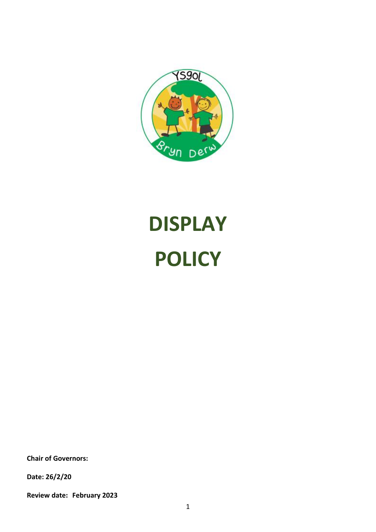

# **DISPLAY POLICY**

**Chair of Governors:**

**Date: 26/2/20**

**Review date: February 2023**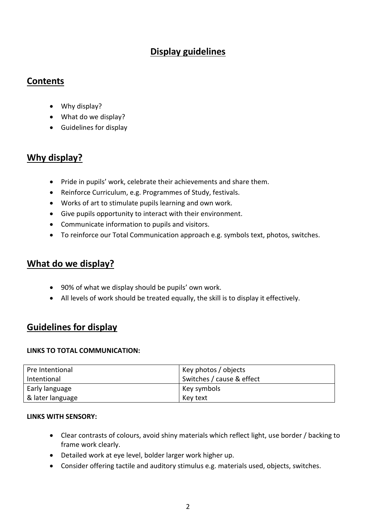# **Display guidelines**

### **Contents**

- Why display?
- What do we display?
- Guidelines for display

## **Why display?**

- Pride in pupils' work, celebrate their achievements and share them.
- Reinforce Curriculum, e.g. Programmes of Study, festivals.
- Works of art to stimulate pupils learning and own work.
- Give pupils opportunity to interact with their environment.
- Communicate information to pupils and visitors.
- To reinforce our Total Communication approach e.g. symbols text, photos, switches.

## **What do we display?**

- 90% of what we display should be pupils' own work.
- All levels of work should be treated equally, the skill is to display it effectively.

## **Guidelines for display**

#### **LINKS TO TOTAL COMMUNICATION:**

| Pre Intentional  | Key photos / objects      |
|------------------|---------------------------|
| Intentional      | Switches / cause & effect |
| Early language   | Key symbols               |
| & later language | Key text                  |

#### **LINKS WITH SENSORY:**

- Clear contrasts of colours, avoid shiny materials which reflect light, use border / backing to frame work clearly.
- Detailed work at eye level, bolder larger work higher up.
- Consider offering tactile and auditory stimulus e.g. materials used, objects, switches.